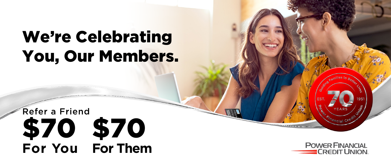## We're Celebrating You, Our Members.

## \$70 \$70 **For You For Them** Refer a Friend

**POWER FINANCIAL CREDIT UNION.**